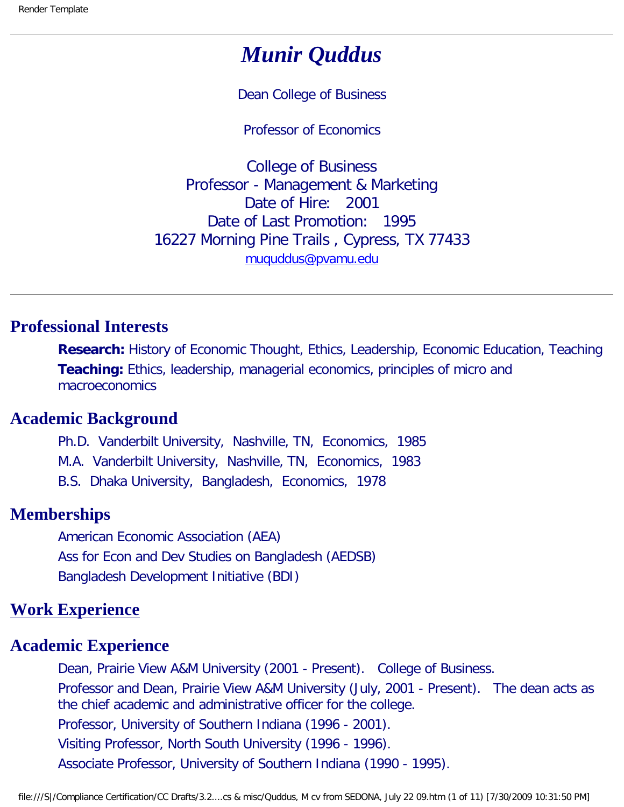# *Munir Quddus*

Dean College of Business

Professor of Economics

College of Business Professor - Management & Marketing Date of Hire: 2001 Date of Last Promotion: 1995 16227 Morning Pine Trails , Cypress, TX 77433 [muquddus@pvamu.edu](mailto:muquddus@pvamu.edu)

### **Professional Interests**

**Research:** History of Economic Thought, Ethics, Leadership, Economic Education, Teaching **Teaching:** Ethics, leadership, managerial economics, principles of micro and macroeconomics

# **Academic Background**

Ph.D. Vanderbilt University, Nashville, TN, Economics, 1985

M.A. Vanderbilt University, Nashville, TN, Economics, 1983

B.S. Dhaka University, Bangladesh, Economics, 1978

# **Memberships**

American Economic Association (AEA) Ass for Econ and Dev Studies on Bangladesh (AEDSB) Bangladesh Development Initiative (BDI)

# **Work Experience**

#### **Academic Experience**

Dean, Prairie View A&M University (2001 - Present). College of Business. Professor and Dean, Prairie View A&M University (July, 2001 - Present). The dean acts as the chief academic and administrative officer for the college. Professor, University of Southern Indiana (1996 - 2001). Visiting Professor, North South University (1996 - 1996). Associate Professor, University of Southern Indiana (1990 - 1995).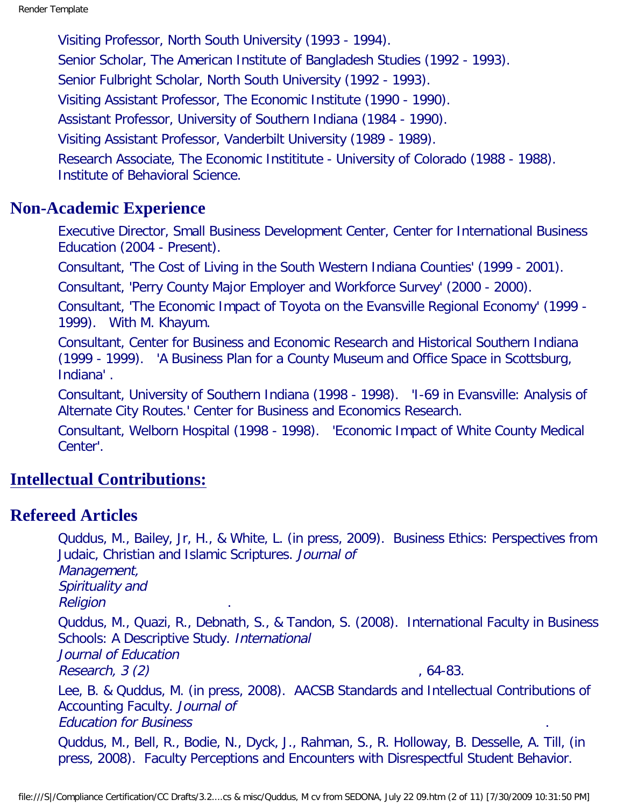Visiting Professor, North South University (1993 - 1994). Senior Scholar, The American Institute of Bangladesh Studies (1992 - 1993). Senior Fulbright Scholar, North South University (1992 - 1993). Visiting Assistant Professor, The Economic Institute (1990 - 1990). Assistant Professor, University of Southern Indiana (1984 - 1990). Visiting Assistant Professor, Vanderbilt University (1989 - 1989). Research Associate, The Economic Instititute - University of Colorado (1988 - 1988). Institute of Behavioral Science.

#### **Non-Academic Experience**

Executive Director, Small Business Development Center, Center for International Business Education (2004 - Present).

Consultant, 'The Cost of Living in the South Western Indiana Counties' (1999 - 2001).

Consultant, 'Perry County Major Employer and Workforce Survey' (2000 - 2000).

Consultant, 'The Economic Impact of Toyota on the Evansville Regional Economy' (1999 - 1999). With M. Khayum.

Consultant, Center for Business and Economic Research and Historical Southern Indiana (1999 - 1999). 'A Business Plan for a County Museum and Office Space in Scottsburg, Indiana' .

Consultant, University of Southern Indiana (1998 - 1998). 'I-69 in Evansville: Analysis of Alternate City Routes.' Center for Business and Economics Research.

Consultant, Welborn Hospital (1998 - 1998). 'Economic Impact of White County Medical Center'.

# **Intellectual Contributions:**

#### **Refereed Articles**

Quddus, M., Bailey, Jr, H., & White, L. (in press, 2009). Business Ethics: Perspectives from Judaic, Christian and Islamic Scriptures. Journal of Management, Spirituality and **Religion** Quddus, M., Quazi, R., Debnath, S., & Tandon, S. (2008). International Faculty in Business Schools: A Descriptive Study. International Journal of Education  $Research, 3 (2)$ , 64-83. Lee, B. & Quddus, M. (in press, 2008). AACSB Standards and Intellectual Contributions of Accounting Faculty. Journal of Education for Business . Quddus, M., Bell, R., Bodie, N., Dyck, J., Rahman, S., R. Holloway, B. Desselle, A. Till, (in press, 2008). Faculty Perceptions and Encounters with Disrespectful Student Behavior.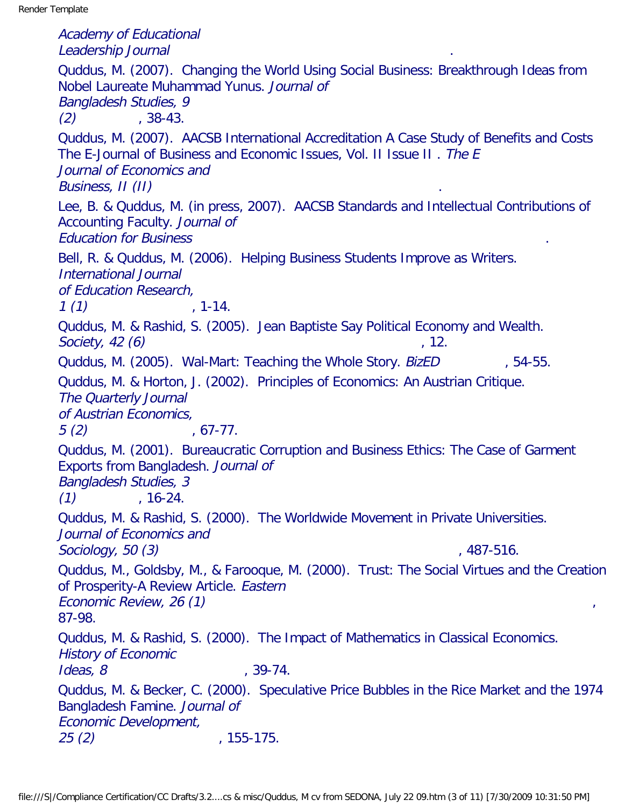Academy of Educational Leadership Journal . Quddus, M. (2007). Changing the World Using Social Business: Breakthrough Ideas from Nobel Laureate Muhammad Yunus. Journal of Bangladesh Studies, 9  $(2)$  , 38-43. Quddus, M. (2007). AACSB International Accreditation A Case Study of Benefits and Costs The E-Journal of Business and Economic Issues, Vol. II Issue II . The E Journal of Economics and Business, II (II) . Lee, B. & Quddus, M. (in press, 2007). AACSB Standards and Intellectual Contributions of Accounting Faculty. Journal of Education for Business . Bell, R. & Quddus, M. (2006). Helping Business Students Improve as Writers. International Journal of Education Research,  $1(1)$  , 1-14. Quddus, M. & Rashid, S. (2005). Jean Baptiste Say Political Economy and Wealth. Society,  $42(6)$ , 12. Quddus, M. (2005). Wal-Mart: Teaching the Whole Story. BizED , 54-55. Quddus, M. & Horton, J. (2002). Principles of Economics: An Austrian Critique. The Quarterly Journal of Austrian Economics,  $5(2)$ ,  $67-77$ . Quddus, M. (2001). Bureaucratic Corruption and Business Ethics: The Case of Garment Exports from Bangladesh. Journal of Bangladesh Studies, 3  $(1)$  , 16-24. Quddus, M. & Rashid, S. (2000). The Worldwide Movement in Private Universities. Journal of Economics and Sociology, 50 (3) , 487-516. Quddus, M., Goldsby, M., & Farooque, M. (2000). Trust: The Social Virtues and the Creation of Prosperity-A Review Article. Eastern Economic Review, 26 (1) 87-98. Quddus, M. & Rashid, S. (2000). The Impact of Mathematics in Classical Economics. History of Economic  $Ideas, 8$  ,  $39-74.$ Quddus, M. & Becker, C. (2000). Speculative Price Bubbles in the Rice Market and the 1974 Bangladesh Famine. Journal of Economic Development, 25 (2) , 155-175.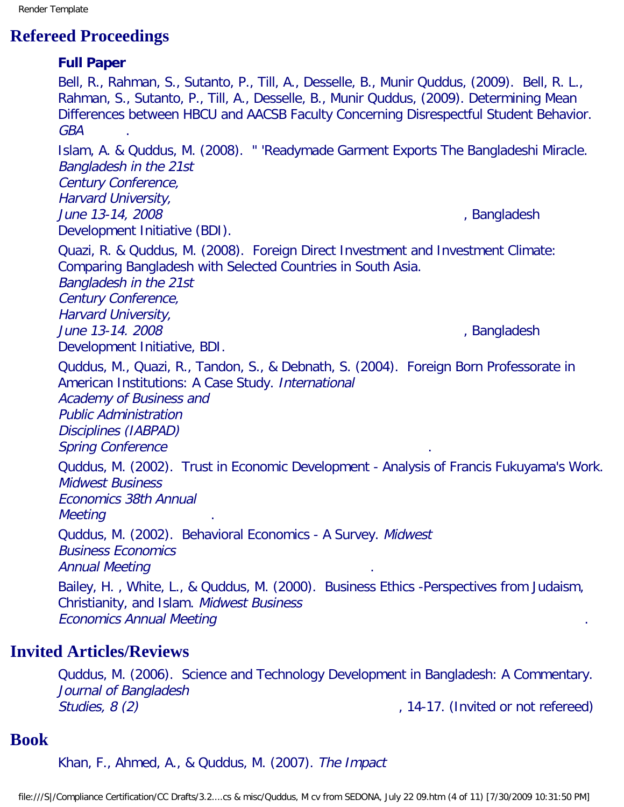Render Template

# **Refereed Proceedings**

# **Full Paper** Bell, R., Rahman, S., Sutanto, P., Till, A., Desselle, B., Munir Quddus, (2009). Bell, R. L., Rahman, S., Sutanto, P., Till, A., Desselle, B., Munir Quddus, (2009). Determining Mean Differences between HBCU and AACSB Faculty Concerning Disrespectful Student Behavior. GBA . Islam, A. & Quddus, M. (2008). " 'Readymade Garment Exports The Bangladeshi Miracle. Bangladesh in the 21st Century Conference, Harvard University, June 13-14, 2008 *June 13-14, 2008* Development Initiative (BDI). Quazi, R. & Quddus, M. (2008). Foreign Direct Investment and Investment Climate: Comparing Bangladesh with Selected Countries in South Asia. Bangladesh in the 21st Century Conference, Harvard University, June 13-14. 2008 *June 13-14. 2008* Development Initiative, BDI. Quddus, M., Quazi, R., Tandon, S., & Debnath, S. (2004). Foreign Born Professorate in American Institutions: A Case Study. International Academy of Business and Public Administration Disciplines (IABPAD) Spring Conference Quddus, M. (2002). Trust in Economic Development - Analysis of Francis Fukuyama's Work. Midwest Business Economics 38th Annual **Meeting** Quddus, M. (2002). Behavioral Economics - A Survey. Midwest Business Economics Annual Meeting . Bailey, H. , White, L., & Quddus, M. (2000). Business Ethics -Perspectives from Judaism, Christianity, and Islam. Midwest Business Economics Annual Meeting . **Invited Articles/Reviews**

Quddus, M. (2006). Science and Technology Development in Bangladesh: A Commentary. Journal of Bangladesh Studies, 8 (2)  $\blacksquare$  , 14-17. (Invited or not refereed)

# **Book**

Khan, F., Ahmed, A., & Quddus, M. (2007). The Impact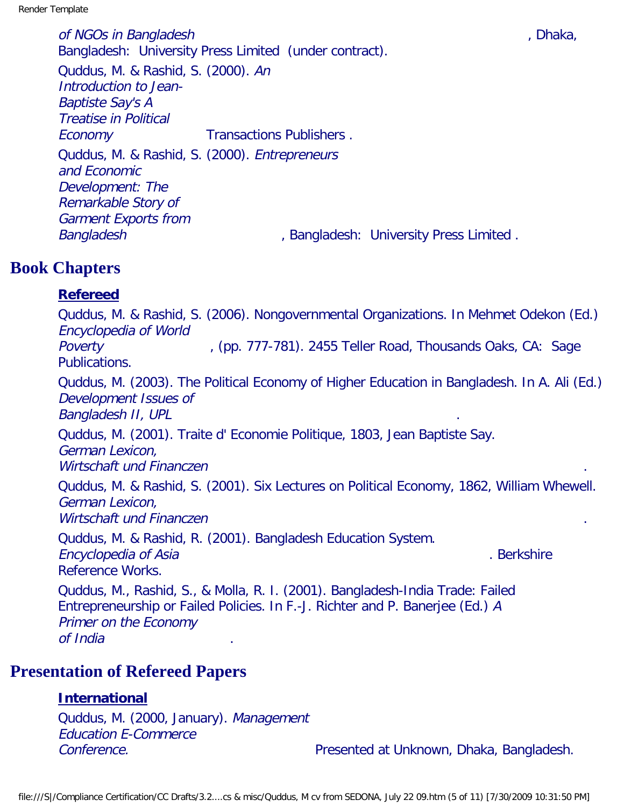of NGOs in Bangladesh , and the state of the state of the state of the state of the state of the state of the state of the state of the state of the state of the state of the state of the state of the state of the state of Bangladesh: University Press Limited (under contract). Quddus, M. & Rashid, S. (2000). An Introduction to Jean-Baptiste Say's A Treatise in Political Economy Transactions Publishers. Quddus, M. & Rashid, S. (2000). Entrepreneurs and Economic Development: The Remarkable Story of Garment Exports from Bangladesh , Bangladesh: University Press Limited .

# **Book Chapters**

### **Refereed**

Quddus, M. & Rashid, S. (2006). Nongovernmental Organizations. In Mehmet Odekon (Ed.) Encyclopedia of World Poverty **Proverty** (pp. 777-781). 2455 Teller Road, Thousands Oaks, CA: Sage Publications.

Quddus, M. (2003). The Political Economy of Higher Education in Bangladesh. In A. Ali (Ed.) Development Issues of Bangladesh II, UPL

Quddus, M. (2001). Traite d' Economie Politique, 1803, Jean Baptiste Say. German Lexicon, Wirtschaft und Financzen

Quddus, M. & Rashid, S. (2001). Six Lectures on Political Economy, 1862, William Whewell. German Lexicon, Wirtschaft und Financzen

Quddus, M. & Rashid, R. (2001). Bangladesh Education System. Encyclopedia of Asia . Berkshire . Berkshire . Berkshire . Berkshire . Berkshire Reference Works.

Quddus, M., Rashid, S., & Molla, R. I. (2001). Bangladesh-India Trade: Failed Entrepreneurship or Failed Policies. In F.-J. Richter and P. Banerjee (Ed.) A Primer on the Economy of India .

# **Presentation of Refereed Papers**

# **International**

Quddus, M. (2000, January). Management Education E-Commerce Conference. **Presented at Unknown, Dhaka, Bangladesh.** Presented at Unknown, Dhaka, Bangladesh.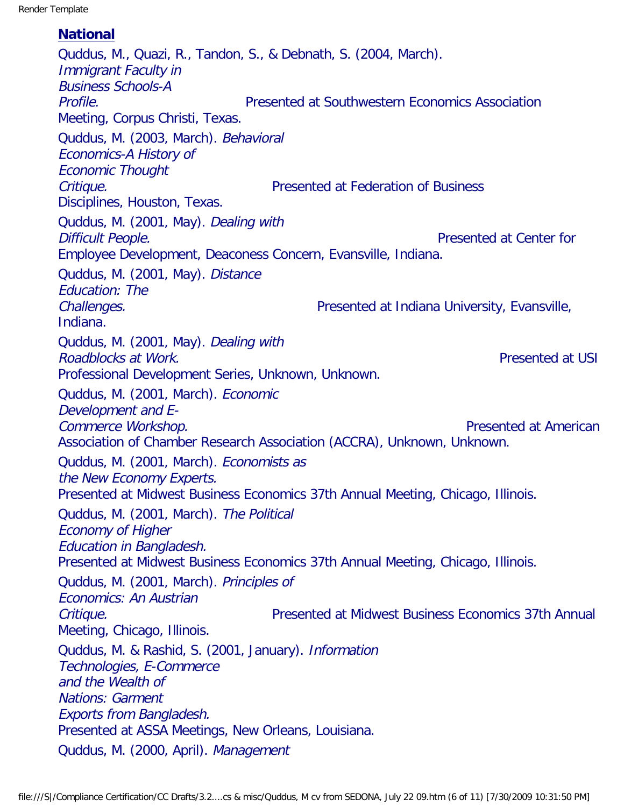#### **National**

Quddus, M., Quazi, R., Tandon, S., & Debnath, S. (2004, March). Immigrant Faculty in Business Schools-A Profile. Presented at Southwestern Economics Association Meeting, Corpus Christi, Texas. Quddus, M. (2003, March). Behavioral Economics-A History of Economic Thought Critique. Presented at Federation of Business Disciplines, Houston, Texas. Quddus, M. (2001, May). Dealing with **Difficult People. Presented at Center for** Employee Development, Deaconess Concern, Evansville, Indiana. Quddus, M. (2001, May). Distance Education: The Challenges. Presented at Indiana University, Evansville, Indiana. Quddus, M. (2001, May). Dealing with Roadblocks at Work. The extension of the extension of the Presented at USI Professional Development Series, Unknown, Unknown. Quddus, M. (2001, March). Economic Development and E-Commerce Workshop. **Commerce Workshop. Presented at American** Association of Chamber Research Association (ACCRA), Unknown, Unknown. Quddus, M. (2001, March). Economists as the New Economy Experts. Presented at Midwest Business Economics 37th Annual Meeting, Chicago, Illinois. Quddus, M. (2001, March). The Political Economy of Higher Education in Bangladesh. Presented at Midwest Business Economics 37th Annual Meeting, Chicago, Illinois. Quddus, M. (2001, March). Principles of Economics: An Austrian Critique. Presented at Midwest Business Economics 37th Annual Meeting, Chicago, Illinois. Quddus, M. & Rashid, S. (2001, January). Information Technologies, E-Commerce and the Wealth of Nations: Garment Exports from Bangladesh. Presented at ASSA Meetings, New Orleans, Louisiana. Quddus, M. (2000, April). Management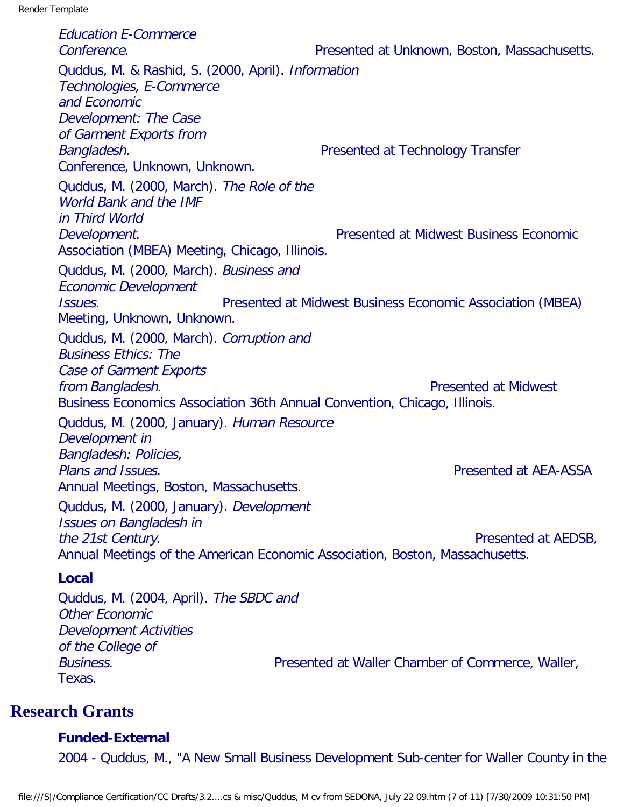Education E-Commerce Conference. Presented at Unknown, Boston, Massachusetts. Quddus, M. & Rashid, S. (2000, April). Information Technologies, E-Commerce and Economic Development: The Case of Garment Exports from Bangladesh. **Bangladesh.** Presented at Technology Transfer Conference, Unknown, Unknown. Quddus, M. (2000, March). The Role of the World Bank and the IMF in Third World Development. Presented at Midwest Business Economic Association (MBEA) Meeting, Chicago, Illinois. Quddus, M. (2000, March). Business and Economic Development Issues. Presented at Midwest Business Economic Association (MBEA) Meeting, Unknown, Unknown. Quddus, M. (2000, March). Corruption and Business Ethics: The Case of Garment Exports **from Bangladesh. Presented at Midwest** Business Economics Association 36th Annual Convention, Chicago, Illinois. Quddus, M. (2000, January). Human Resource Development in Bangladesh: Policies, Plans and Issues. Presented at AEA-ASSA Annual Meetings, Boston, Massachusetts. Quddus, M. (2000, January). Development Issues on Bangladesh in the 21st Century. The 21st Century of the 21st Century of the 21st Century of the 21st Century of the 1990s of the 1990s of the 1990s of the 1990s of the 1990s of the 1990s of the 1990s of the 1990s of the 1990s of the 199 Annual Meetings of the American Economic Association, Boston, Massachusetts. **Local** Quddus, M. (2004, April). The SBDC and

Other Economic Development Activities of the College of Business. Presented at Waller Chamber of Commerce, Waller, Texas.

# **Research Grants**

#### **Funded-External**

2004 - Quddus, M., "A New Small Business Development Sub-center for Waller County in the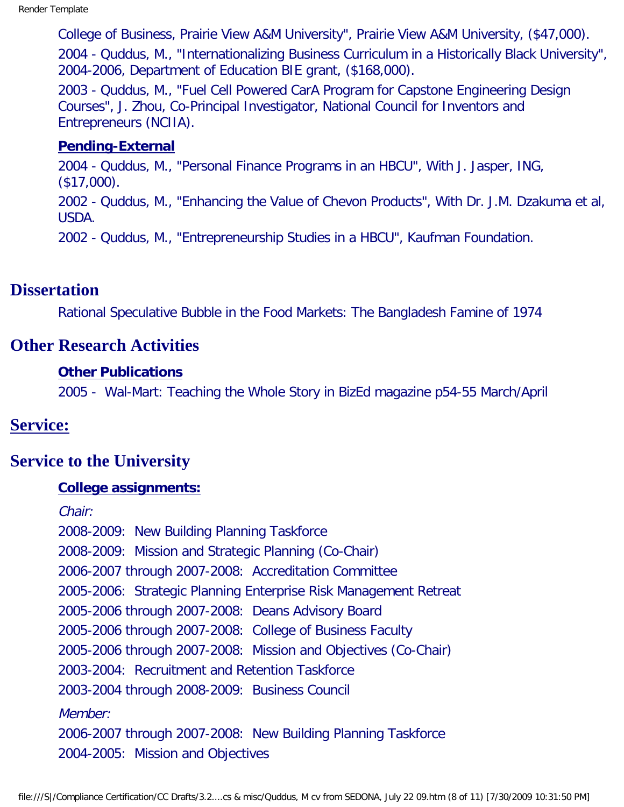College of Business, Prairie View A&M University", Prairie View A&M University, (\$47,000). 2004 - Quddus, M., "Internationalizing Business Curriculum in a Historically Black University", 2004-2006, Department of Education BIE grant, (\$168,000).

2003 - Quddus, M., "Fuel Cell Powered Car A Program for Capstone Engineering Design Courses", J. Zhou, Co-Principal Investigator, National Council for Inventors and Entrepreneurs (NCIIA).

#### **Pending-External**

2004 - Quddus, M., "Personal Finance Programs in an HBCU", With J. Jasper, ING, (\$17,000). 2002 - Quddus, M., "Enhancing the Value of Chevon Products", With Dr. J.M. Dzakuma et al, USDA. 2002 - Quddus, M., "Entrepreneurship Studies in a HBCU", Kaufman Foundation.

# **Dissertation**

Rational Speculative Bubble in the Food Markets: The Bangladesh Famine of 1974

### **Other Research Activities**

#### **Other Publications**

2005 - Wal-Mart: Teaching the Whole Story in BizEd magazine p54-55 March/April

#### **Service:**

# **Service to the University**

#### **College assignments:**

Chair: 2008-2009: New Building Planning Taskforce 2008-2009: Mission and Strategic Planning (Co-Chair) 2006-2007 through 2007-2008: Accreditation Committee 2005-2006: Strategic Planning Enterprise Risk Management Retreat 2005-2006 through 2007-2008: Deans Advisory Board 2005-2006 through 2007-2008: College of Business Faculty 2005-2006 through 2007-2008: Mission and Objectives (Co-Chair) 2003-2004: Recruitment and Retention Taskforce 2003-2004 through 2008-2009: Business Council Member: 2006-2007 through 2007-2008: New Building Planning Taskforce 2004-2005: Mission and Objectives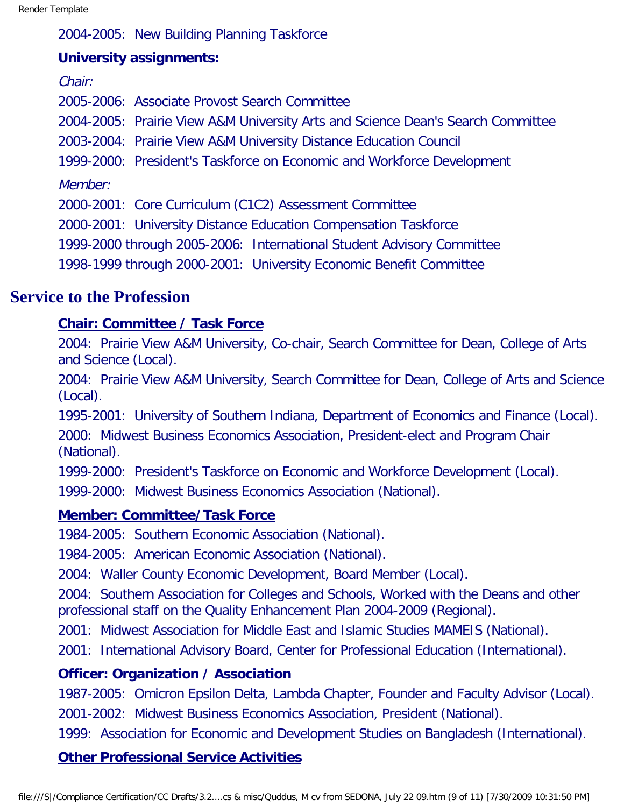2004-2005: New Building Planning Taskforce

#### **University assignments:**

Chair:

2005-2006: Associate Provost Search Committee

2004-2005: Prairie View A&M University Arts and Science Dean's Search Committee

2003-2004: Prairie View A&M University Distance Education Council

1999-2000: President's Taskforce on Economic and Workforce Development

Member:

2000-2001: Core Curriculum (C1C2) Assessment Committee

2000-2001: University Distance Education Compensation Taskforce

1999-2000 through 2005-2006: International Student Advisory Committee

1998-1999 through 2000-2001: University Economic Benefit Committee

# **Service to the Profession**

# **Chair: Committee / Task Force**

2004: Prairie View A&M University, Co-chair, Search Committee for Dean, College of Arts and Science (Local).

2004: Prairie View A&M University, Search Committee for Dean, College of Arts and Science (Local).

1995-2001: University of Southern Indiana, Department of Economics and Finance (Local).

2000: Midwest Business Economics Association, President-elect and Program Chair (National).

1999-2000: President's Taskforce on Economic and Workforce Development (Local).

1999-2000: Midwest Business Economics Association (National).

# **Member: Committee/Task Force**

1984-2005: Southern Economic Association (National).

1984-2005: American Economic Association (National).

2004: Waller County Economic Development, Board Member (Local).

2004: Southern Association for Colleges and Schools, Worked with the Deans and other professional staff on the Quality Enhancement Plan 2004-2009 (Regional).

2001: Midwest Association for Middle East and Islamic Studies MAMEIS (National).

2001: International Advisory Board, Center for Professional Education (International).

# **Officer: Organization / Association**

1987-2005: Omicron Epsilon Delta, Lambda Chapter, Founder and Faculty Advisor (Local). 2001-2002: Midwest Business Economics Association, President (National).

1999: Association for Economic and Development Studies on Bangladesh (International).

# **Other Professional Service Activities**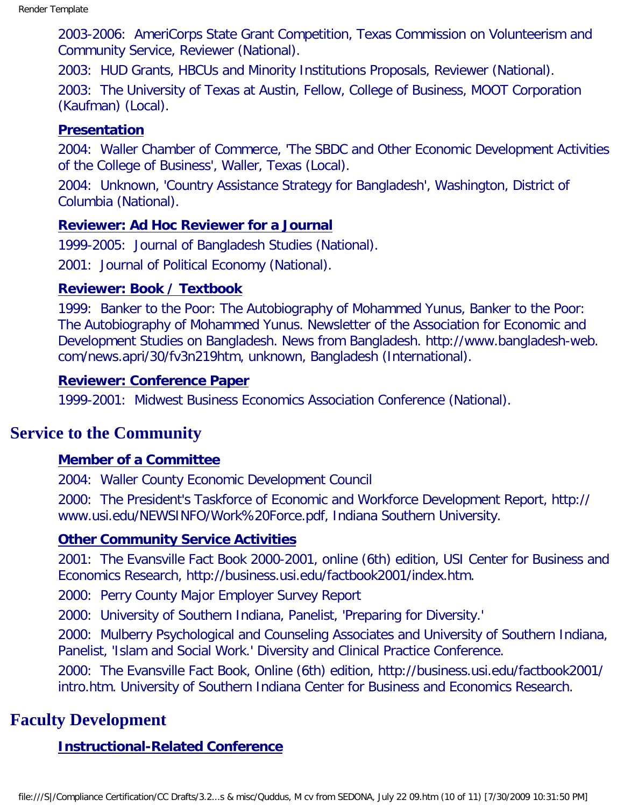2003-2006: AmeriCorps State Grant Competition, Texas Commission on Volunteerism and Community Service, Reviewer (National).

2003: HUD Grants, HBCUs and Minority Institutions Proposals, Reviewer (National).

2003: The University of Texas at Austin, Fellow, College of Business, MOOT Corporation (Kaufman) (Local).

#### **Presentation**

2004: Waller Chamber of Commerce, 'The SBDC and Other Economic Development Activities of the College of Business', Waller, Texas (Local).

2004: Unknown, 'Country Assistance Strategy for Bangladesh', Washington, District of Columbia (National).

#### **Reviewer: Ad Hoc Reviewer for a Journal**

1999-2005: Journal of Bangladesh Studies (National).

2001: Journal of Political Economy (National).

#### **Reviewer: Book / Textbook**

1999: Banker to the Poor: The Autobiography of Mohammed Yunus, Banker to the Poor: The Autobiography of Mohammed Yunus. Newsletter of the Association for Economic and Development Studies on Bangladesh. News from Bangladesh. http://www.bangladesh-web. com/news.apri/30/fv3n219htm, unknown, Bangladesh (International).

#### **Reviewer: Conference Paper**

1999-2001: Midwest Business Economics Association Conference (National).

# **Service to the Community**

#### **Member of a Committee**

2004: Waller County Economic Development Council

2000: The President's Taskforce of Economic and Workforce Development Report, http:// www.usi.edu/NEWSINFO/Work%20Force.pdf, Indiana Southern University.

#### **Other Community Service Activities**

2001: The Evansville Fact Book 2000-2001, online (6th) edition, USI Center for Business and Economics Research, http://business.usi.edu/factbook2001/index.htm.

2000: Perry County Major Employer Survey Report

2000: University of Southern Indiana, Panelist, 'Preparing for Diversity.'

2000: Mulberry Psychological and Counseling Associates and University of Southern Indiana, Panelist, 'Islam and Social Work.' Diversity and Clinical Practice Conference.

2000: The Evansville Fact Book, Online (6th) edition, http://business.usi.edu/factbook2001/ intro.htm. University of Southern Indiana Center for Business and Economics Research.

# **Faculty Development**

#### **Instructional-Related Conference**